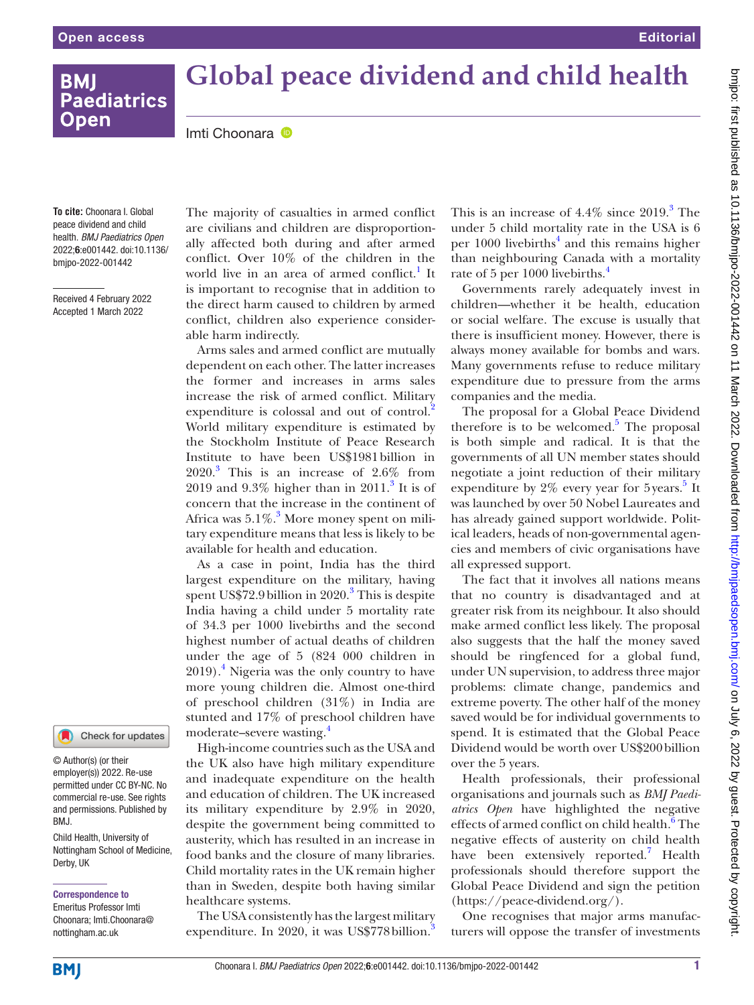# **BMI Paediatrics Open**

# **Global peace dividend and child health**

ImtiChoonara <sup>®</sup>

**To cite:** Choonara I. Global peace dividend and child health. *BMJ Paediatrics Open* 2022;6:e001442. doi:10.1136/ bmjpo-2022-001442

Received 4 February 2022 Accepted 1 March 2022

The majority of casualties in armed conflict are civilians and children are disproportionally affected both during and after armed conflict. Over 10% of the children in the world live in an area of armed conflict.<sup>1</sup> It is important to recognise that in addition to the direct harm caused to children by armed conflict, children also experience considerable harm indirectly.

Arms sales and armed conflict are mutually dependent on each other. The latter increases the former and increases in arms sales increase the risk of armed conflict. Military expenditure is colossal and out of control.<sup>2</sup> World military expenditure is estimated by the Stockholm Institute of Peace Research Institute to have been US\$1981billion in  $2020$ .<sup>3</sup> This is an increase of 2.6% from 2019 and  $9.3\%$  $9.3\%$  $9.3\%$  higher than in  $2011.^3$  It is of concern that the increase in the continent of Africa was  $5.1\%$ .<sup>3</sup> More money spent on military expenditure means that less is likely to be available for health and education.

As a case in point, India has the third largest expenditure on the military, having spent US\$72.9 billion in 2020.<sup>[3](#page-1-0)</sup> This is despite India having a child under 5 mortality rate of 34.3 per 1000 livebirths and the second highest number of actual deaths of children under the age of 5 (824 000 children in 2019).[4](#page-1-1) Nigeria was the only country to have more young children die. Almost one-third of preschool children (31%) in India are stunted and 17% of preschool children have moderate–severe wasting.<sup>[4](#page-1-1)</sup>

High-income countries such as the USA and the UK also have high military expenditure and inadequate expenditure on the health and education of children. The UK increased its military expenditure by 2.9% in 2020, despite the government being committed to austerity, which has resulted in an increase in food banks and the closure of many libraries. Child mortality rates in the UK remain higher than in Sweden, despite both having similar healthcare systems.

The USA consistently has the largest military expenditure. In 2020, it was US\$778 billion.<sup>[3](#page-1-0)</sup>

This is an increase of  $4.4\%$  since  $2019.<sup>3</sup>$  $2019.<sup>3</sup>$  $2019.<sup>3</sup>$  The under 5 child mortality rate in the USA is 6 per 1000 livebirths<sup>4</sup> and this remains higher than neighbouring Canada with a mortality rate of 5 per 1000 livebirths.<sup>[4](#page-1-1)</sup>

Governments rarely adequately invest in children—whether it be health, education or social welfare. The excuse is usually that there is insufficient money. However, there is always money available for bombs and wars. Many governments refuse to reduce military expenditure due to pressure from the arms companies and the media.

The proposal for a Global Peace Dividend therefore is to be welcomed.<sup>[5](#page-1-2)</sup> The proposal is both simple and radical. It is that the governments of all UN member states should negotiate a joint reduction of their military expenditure by  $2\%$  every year for [5](#page-1-2) years.<sup>5</sup> It was launched by over 50 Nobel Laureates and has already gained support worldwide. Political leaders, heads of non-governmental agencies and members of civic organisations have all expressed support.

The fact that it involves all nations means that no country is disadvantaged and at greater risk from its neighbour. It also should make armed conflict less likely. The proposal also suggests that the half the money saved should be ringfenced for a global fund, under UN supervision, to address three major problems: climate change, pandemics and extreme poverty. The other half of the money saved would be for individual governments to spend. It is estimated that the Global Peace Dividend would be worth over US\$200billion over the 5 years.

Health professionals, their professional organisations and journals such as *BMJ Paediatrics Open* have highlighted the negative effects of armed conflict on child health.<sup>6</sup> The negative effects of austerity on child health have been extensively reported.<sup>[7](#page-1-4)</sup> Health professionals should therefore support the Global Peace Dividend and sign the petition ([https://peace-dividend.org/\)](https://peace-dividend.org/).

One recognises that major arms manufacturers will oppose the transfer of investments

Derby, UK

BMJ.

Child Health, University of Nottingham School of Medicine,

© Author(s) (or their employer(s)) 2022. Re-use permitted under CC BY-NC. No commercial re-use. See rights and permissions. Published by

Check for updates

Correspondence to Emeritus Professor Imti Choonara; Imti.Choonara@ nottingham.ac.uk